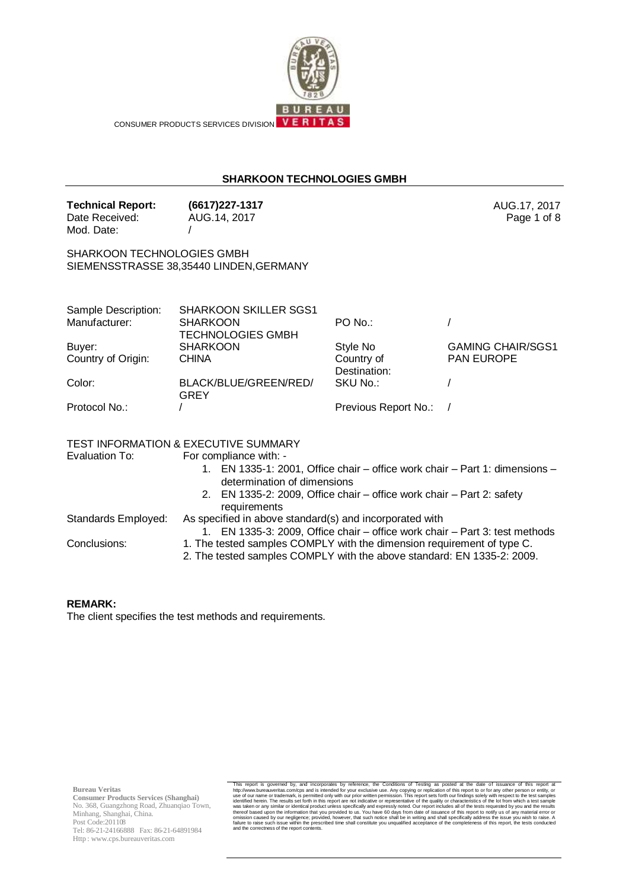

CONSUMER PRODUCTS SERVICES DIVISION VERITAS

## **SHARKOON TECHNOLOGIES GMBH**

**Technical Report: (6617)227-1317** AUG.17, 2017 Date Received: Mod. Date: AUG.14, 2017 /

SHARKOON TECHNOLOGIES GMBH SIEMENSSTRASSE 38,35440 LINDEN,GERMANY

| Sample Description: | <b>SHARKOON SKILLER SGS1</b> |                      |                          |
|---------------------|------------------------------|----------------------|--------------------------|
| Manufacturer:       | <b>SHARKOON</b>              | $PO$ No.:            |                          |
|                     | <b>TECHNOLOGIES GMBH</b>     |                      |                          |
| Buyer:              | <b>SHARKOON</b>              | Style No             | <b>GAMING CHAIR/SGS1</b> |
| Country of Origin:  | <b>CHINA</b>                 | Country of           | <b>PAN EUROPE</b>        |
|                     |                              | Destination:         |                          |
| Color:              | BLACK/BLUE/GREEN/RED/        | SKU No.:             |                          |
|                     | GREY                         |                      |                          |
| Protocol No.:       |                              | Previous Report No.: |                          |

TEST INFORMATION & EXECUTIVE SUMMARY

Evaluation To: For compliance with: -

1. EN 1335-1: 2001, Office chair – office work chair – Part 1: dimensions – determination of dimensions

Page 1 of 8

- 2. EN 1335-2: 2009, Office chair office work chair Part 2: safety requirements
- Standards Employed: As specified in above standard(s) and incorporated with
	- 1. EN 1335-3: 2009, Office chair office work chair Part 3: test methods
- 
- Conclusions: 1. The tested samples COMPLY with the dimension requirement of type C. 2. The tested samples COMPLY with the above standard: EN 1335-2: 2009.

#### **REMARK:**

The client specifies the test methods and requirements.

**Bureau Veritas**

**Consumer Products Services (Shanghai)** No. 368, Guangzhong Road, Zhuanqiao Town, Minhang, Shanghai, China. Post Code:201108 Tel: 86-21-24166888 Fax: 86-21-64891984 Http : www.cps.bureauveritas.com

This report is governed by, and incorporates by reference, the Conditions of Testing as posted at the date of issuance of this report in the Children by, and incorporates by reference, the Conditions of Testing as posted a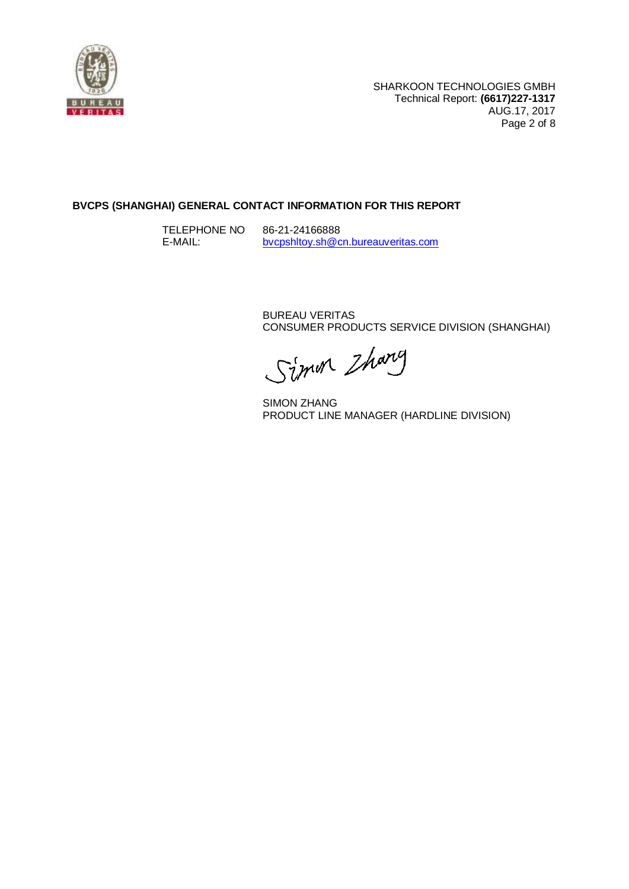

# **BVCPS (SHANGHAI) GENERAL CONTACT INFORMATION FOR THIS REPORT**

TELEPHONE NO E-MAIL: 86-21-24166888 [bvcpshltoy.sh@cn.bureauveritas.com](mailto:bvcpshltoy.sh@cn.bureauveritas.com)

> BUREAU VERITAS CONSUMER PRODUCTS SERVICE DIVISION (SHANGHAI)

Simon Zharg

SIMON ZHANG PRODUCT LINE MANAGER (HARDLINE DIVISION)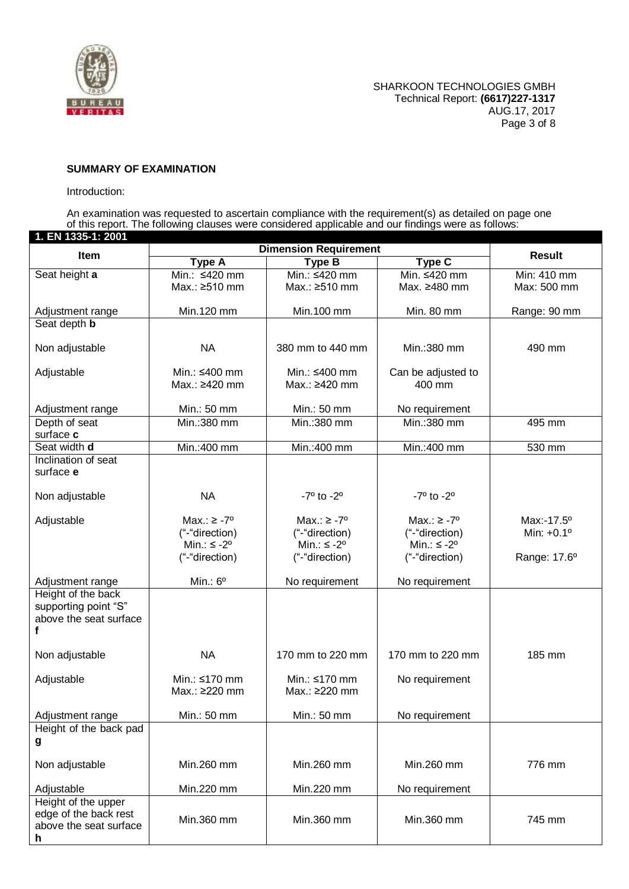

### **SUMMARY OF EXAMINATION**

### Introduction:

An examination was requested to ascertain compliance with the requirement(s) as detailed on page one of this report. The following clauses were considered applicable and our findings were as follows:

| 1. EN 1335-1: 2001                             |                                          |                                          |                                          |                                   |
|------------------------------------------------|------------------------------------------|------------------------------------------|------------------------------------------|-----------------------------------|
| Item                                           |                                          | <b>Dimension Requirement</b>             |                                          | <b>Result</b>                     |
| Seat height a                                  | <b>Type A</b><br>Min.: ≤420 mm           | <b>Type B</b><br>Min.: ≤420 mm           | <b>Type C</b><br>Min. ≤420 mm            | Min: 410 mm                       |
|                                                | Max.: ≥510 mm                            | Max.: ≥510 mm                            | Max. ≥480 mm                             | Max: 500 mm                       |
|                                                |                                          |                                          |                                          |                                   |
| Adjustment range                               | Min.120 mm                               | Min.100 mm                               | Min. 80 mm                               | Range: 90 mm                      |
| Seat depth <b>b</b>                            |                                          |                                          |                                          |                                   |
|                                                |                                          |                                          |                                          |                                   |
| Non adjustable                                 | <b>NA</b>                                | 380 mm to 440 mm                         | Min.:380 mm                              | 490 mm                            |
| Adjustable                                     | Min.: ≤400 mm                            | Min.: ≤400 mm                            | Can be adjusted to                       |                                   |
|                                                | Max.: ≥420 mm                            | Max.: ≥420 mm                            | 400 mm                                   |                                   |
|                                                |                                          |                                          |                                          |                                   |
| Adjustment range                               | Min.: 50 mm                              | Min.: 50 mm                              | No requirement                           |                                   |
| Depth of seat                                  | Min.:380 mm                              | Min.: 380 mm                             | Min.:380 mm                              | 495 mm                            |
| surface c<br>Seat width d                      | Min.:400 mm                              | Min.:400 mm                              | Min.:400 mm                              | 530 mm                            |
| Inclination of seat                            |                                          |                                          |                                          |                                   |
| surface e                                      |                                          |                                          |                                          |                                   |
|                                                |                                          |                                          |                                          |                                   |
| Non adjustable                                 | <b>NA</b>                                | $-7^{\circ}$ to $-2^{\circ}$             | $-7^{\circ}$ to $-2^{\circ}$             |                                   |
|                                                |                                          |                                          |                                          |                                   |
| Adjustable                                     | Max.: $\ge -7^{\circ}$<br>("-"direction) | Max.: $\ge -7^{\circ}$<br>("-"direction) | Max.: $\ge -7^{\circ}$<br>("-"direction) | Max:-17.5°<br>Min: $+0.1^{\circ}$ |
|                                                | Min.: $\leq -2^{\circ}$                  | Min.: $\leq -2^{\circ}$                  | Min.: $\leq -2^{\circ}$                  |                                   |
|                                                | ("-"direction)                           | ("-"direction)                           | ("-"direction)                           | Range: 17.6°                      |
|                                                |                                          |                                          |                                          |                                   |
| Adjustment range                               | Min.: $6^{\circ}$                        | No requirement                           | No requirement                           |                                   |
| Height of the back                             |                                          |                                          |                                          |                                   |
| supporting point "S"<br>above the seat surface |                                          |                                          |                                          |                                   |
| f                                              |                                          |                                          |                                          |                                   |
|                                                |                                          |                                          |                                          |                                   |
| Non adjustable                                 | <b>NA</b>                                | 170 mm to 220 mm                         | 170 mm to 220 mm                         | 185 mm                            |
|                                                |                                          |                                          |                                          |                                   |
| Adjustable                                     | Min.: ≤170 mm<br>Max.: ≥220 mm           | Min.: ≤170 mm<br>Max.: ≥220 mm           | No requirement                           |                                   |
|                                                |                                          |                                          |                                          |                                   |
| Adjustment range                               | Min.: 50 mm                              | Min.: 50 mm                              | No requirement                           |                                   |
| Height of the back pad                         |                                          |                                          |                                          |                                   |
| g                                              |                                          |                                          |                                          |                                   |
|                                                |                                          |                                          |                                          |                                   |
| Non adjustable                                 | Min.260 mm                               | Min.260 mm                               | Min.260 mm                               | 776 mm                            |
| Adjustable                                     | Min.220 mm                               | Min.220 mm                               | No requirement                           |                                   |
| Height of the upper                            |                                          |                                          |                                          |                                   |
| edge of the back rest                          | Min.360 mm                               | Min.360 mm                               | Min.360 mm                               | 745 mm                            |
| above the seat surface                         |                                          |                                          |                                          |                                   |
| h                                              |                                          |                                          |                                          |                                   |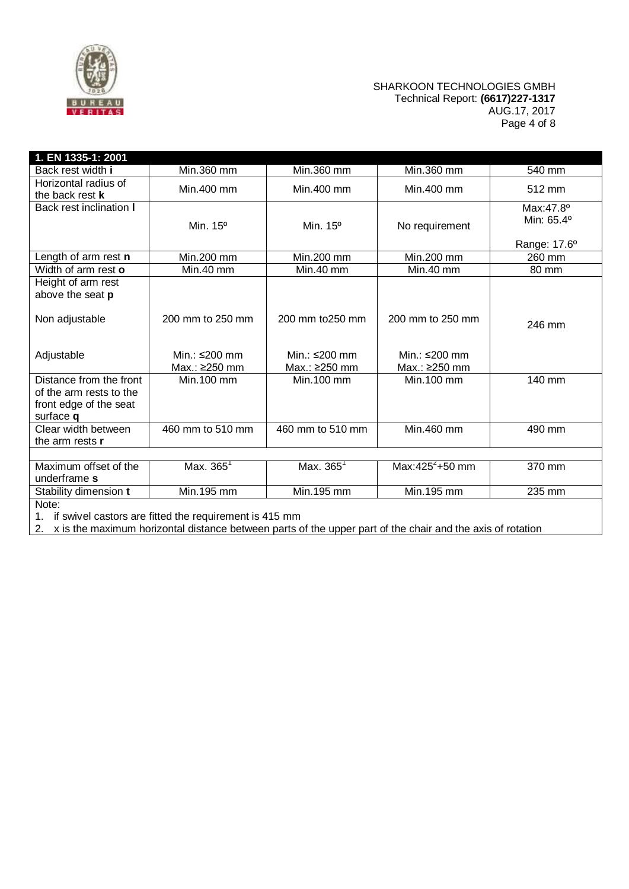

### SHARKOON TECHNOLOGIES GMBH Technical Report: **(6617)227-1317** AUG.17, 2017 Page 4 of 8

| 1. EN 1335-1: 2001                                                                        |                                                           |                                      |                                      |                                         |
|-------------------------------------------------------------------------------------------|-----------------------------------------------------------|--------------------------------------|--------------------------------------|-----------------------------------------|
| Back rest width i                                                                         | Min.360 mm                                                | Min.360 mm                           | Min.360 mm                           | 540 mm                                  |
| Horizontal radius of<br>the back rest k                                                   | Min.400 mm                                                | Min.400 mm                           | Min.400 mm                           | 512 mm                                  |
| Back rest inclination I                                                                   | Min. $15^{\circ}$                                         | Min. 15°                             | No requirement                       | Max:47.8°<br>Min: 65.4°<br>Range: 17.6° |
| Length of arm rest n                                                                      | Min.200 mm                                                | Min.200 mm                           | Min.200 mm                           | 260 mm                                  |
| Width of arm rest o                                                                       | Min.40 mm                                                 | Min.40 mm                            | Min.40 mm                            | 80 mm                                   |
| Height of arm rest<br>above the seat p<br>Non adjustable                                  | 200 mm to 250 mm                                          | 200 mm to 250 mm                     | 200 mm to 250 mm                     | 246 mm                                  |
| Adjustable                                                                                | Min.: $\leq$ 200 mm<br>Max.: ≥250 mm                      | Min.: $\leq$ 200 mm<br>Max.: ≥250 mm | Min.: $\leq$ 200 mm<br>Max.: ≥250 mm |                                         |
| Distance from the front<br>of the arm rests to the<br>front edge of the seat<br>surface q | Min. 100 mm                                               | Min.100 mm                           | Min.100 mm                           | 140 mm                                  |
| Clear width between<br>the arm rests r                                                    | 460 mm to 510 mm                                          | 460 mm to 510 mm                     | Min.460 mm                           | 490 mm                                  |
|                                                                                           |                                                           |                                      |                                      |                                         |
| Maximum offset of the<br>underframe s                                                     | Max. 365 <sup>1</sup>                                     | Max. $365^{\circ}$                   | Max:425 $^{2}$ +50 mm                | 370 mm                                  |
| Stability dimension t                                                                     | Min.195 mm                                                | Min.195 mm                           | Min.195 mm                           | 235 mm                                  |
| Note:                                                                                     |                                                           |                                      |                                      |                                         |
|                                                                                           | 1. if swivel castors are fitted the requirement is 415 mm |                                      |                                      |                                         |

2. x is the maximum horizontal distance between parts of the upper part of the chair and the axis of rotation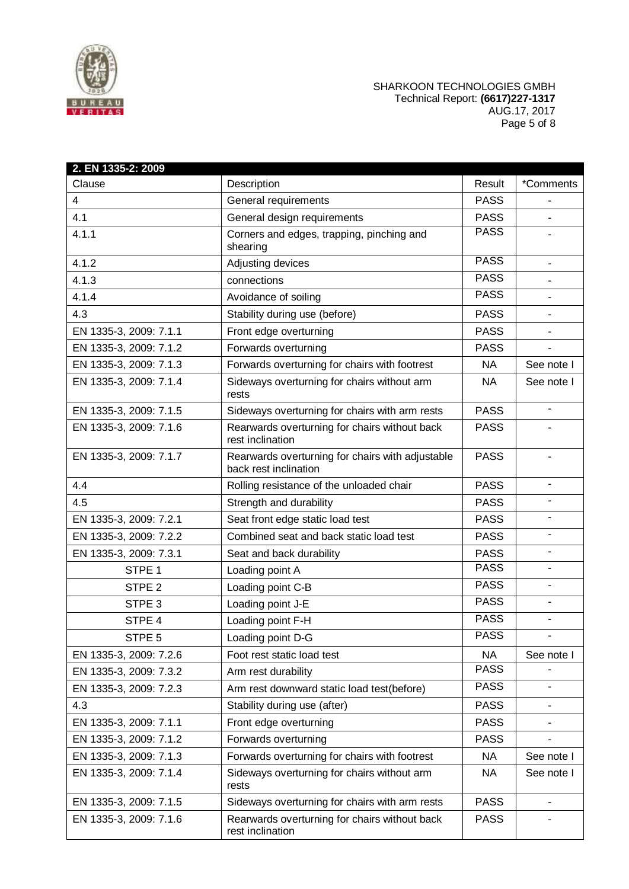

## SHARKOON TECHNOLOGIES GMBH Technical Report: **(6617)227-1317** AUG.17, 2017 Page 5 of 8

| 2. EN 1335-2: 2009     |                                                                           |             |            |
|------------------------|---------------------------------------------------------------------------|-------------|------------|
| Clause                 | Description                                                               | Result      | *Comments  |
| 4                      | General requirements                                                      | <b>PASS</b> |            |
| 4.1                    | General design requirements                                               | <b>PASS</b> |            |
| 4.1.1                  | Corners and edges, trapping, pinching and<br>shearing                     | <b>PASS</b> |            |
| 4.1.2                  | Adjusting devices                                                         | <b>PASS</b> |            |
| 4.1.3                  | connections                                                               | <b>PASS</b> |            |
| 4.1.4                  | Avoidance of soiling                                                      | <b>PASS</b> |            |
| 4.3                    | Stability during use (before)                                             | <b>PASS</b> |            |
| EN 1335-3, 2009: 7.1.1 | Front edge overturning                                                    | <b>PASS</b> |            |
| EN 1335-3, 2009: 7.1.2 | Forwards overturning                                                      | <b>PASS</b> |            |
| EN 1335-3, 2009: 7.1.3 | Forwards overturning for chairs with footrest                             | <b>NA</b>   | See note I |
| EN 1335-3, 2009: 7.1.4 | Sideways overturning for chairs without arm<br>rests                      | NA.         | See note I |
| EN 1335-3, 2009: 7.1.5 | Sideways overturning for chairs with arm rests                            | <b>PASS</b> | $\sim$     |
| EN 1335-3, 2009: 7.1.6 | Rearwards overturning for chairs without back<br>rest inclination         | <b>PASS</b> |            |
| EN 1335-3, 2009: 7.1.7 | Rearwards overturning for chairs with adjustable<br>back rest inclination | <b>PASS</b> |            |
| 4.4                    | Rolling resistance of the unloaded chair                                  | <b>PASS</b> |            |
| 4.5                    | Strength and durability                                                   | <b>PASS</b> |            |
| EN 1335-3, 2009: 7.2.1 | Seat front edge static load test                                          | <b>PASS</b> |            |
| EN 1335-3, 2009: 7.2.2 | Combined seat and back static load test                                   | <b>PASS</b> |            |
| EN 1335-3, 2009: 7.3.1 | Seat and back durability                                                  | <b>PASS</b> |            |
| STPE <sub>1</sub>      | Loading point A                                                           | <b>PASS</b> |            |
| STPE <sub>2</sub>      | Loading point C-B                                                         | <b>PASS</b> |            |
| STPE <sub>3</sub>      | Loading point J-E                                                         | <b>PASS</b> |            |
| STPE 4                 | Loading point F-H                                                         | <b>PASS</b> |            |
| STPE 5                 | Loading point D-G                                                         | <b>PASS</b> |            |
| EN 1335-3, 2009: 7.2.6 | Foot rest static load test                                                | <b>NA</b>   | See note I |
| EN 1335-3, 2009: 7.3.2 | Arm rest durability                                                       | <b>PASS</b> |            |
| EN 1335-3, 2009: 7.2.3 | Arm rest downward static load test(before)                                | <b>PASS</b> |            |
| 4.3                    | Stability during use (after)                                              | <b>PASS</b> |            |
| EN 1335-3, 2009: 7.1.1 | Front edge overturning                                                    | <b>PASS</b> |            |
| EN 1335-3, 2009: 7.1.2 | Forwards overturning                                                      | <b>PASS</b> |            |
| EN 1335-3, 2009: 7.1.3 | Forwards overturning for chairs with footrest                             | <b>NA</b>   | See note I |
| EN 1335-3, 2009: 7.1.4 | Sideways overturning for chairs without arm<br>rests                      | <b>NA</b>   | See note I |
| EN 1335-3, 2009: 7.1.5 | Sideways overturning for chairs with arm rests                            | <b>PASS</b> |            |
| EN 1335-3, 2009: 7.1.6 | Rearwards overturning for chairs without back<br>rest inclination         | <b>PASS</b> |            |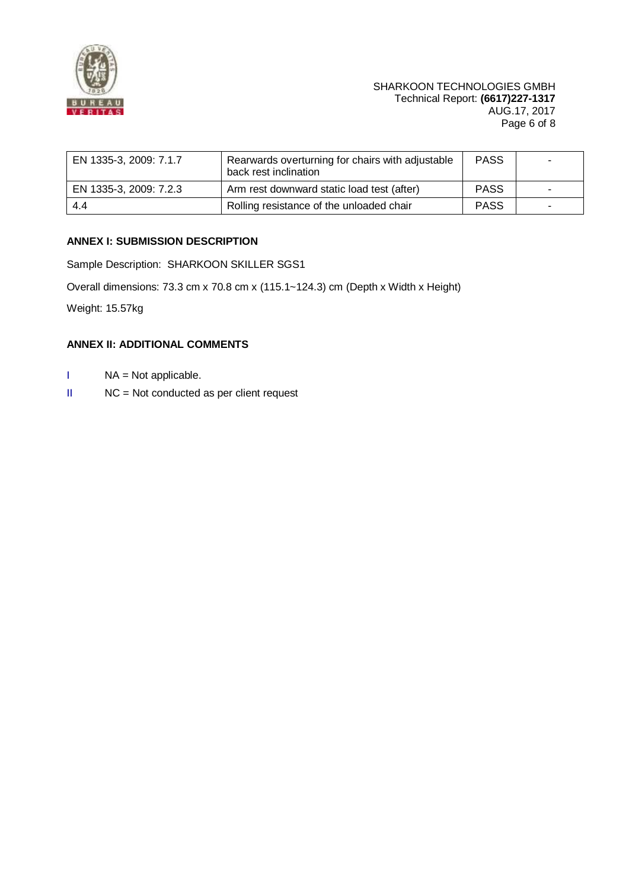

| EN 1335-3, 2009: 7.1.7 | Rearwards overturning for chairs with adjustable<br>back rest inclination | <b>PASS</b> |  |
|------------------------|---------------------------------------------------------------------------|-------------|--|
| EN 1335-3, 2009: 7.2.3 | Arm rest downward static load test (after)                                | <b>PASS</b> |  |
| 4.4                    | Rolling resistance of the unloaded chair                                  | <b>PASS</b> |  |

# **ANNEX I: SUBMISSION DESCRIPTION**

Sample Description: SHARKOON SKILLER SGS1

Overall dimensions: 73.3 cm x 70.8 cm x (115.1~124.3) cm (Depth x Width x Height)

Weight: 15.57kg

## **ANNEX II: ADDITIONAL COMMENTS**

- I NA = Not applicable.
- II NC = Not conducted as per client request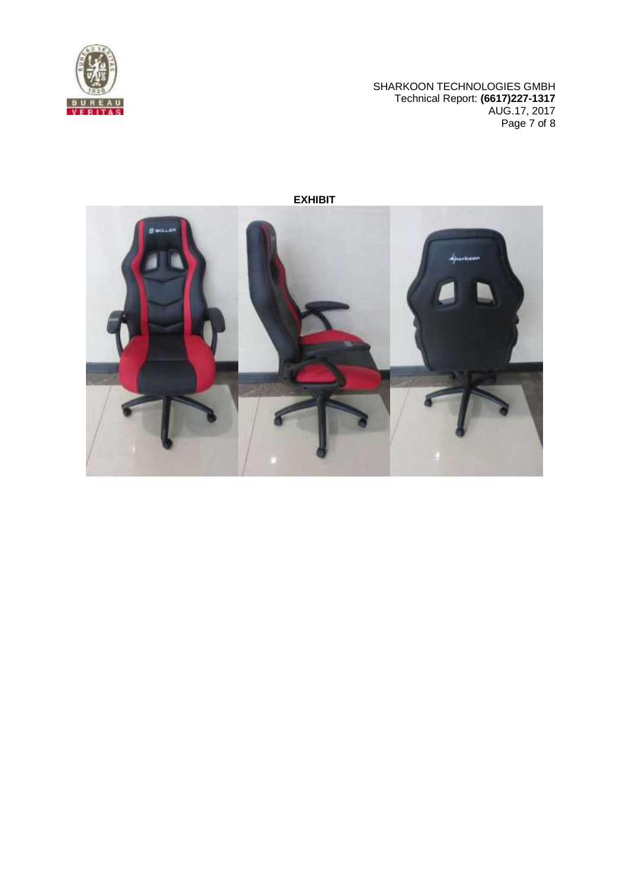

SHARKOON TECHNOLOGIES GMBH Technical Report: **(6617)227-1317** AUG.17, 2017 Page 7 of 8



**EXHIBIT**